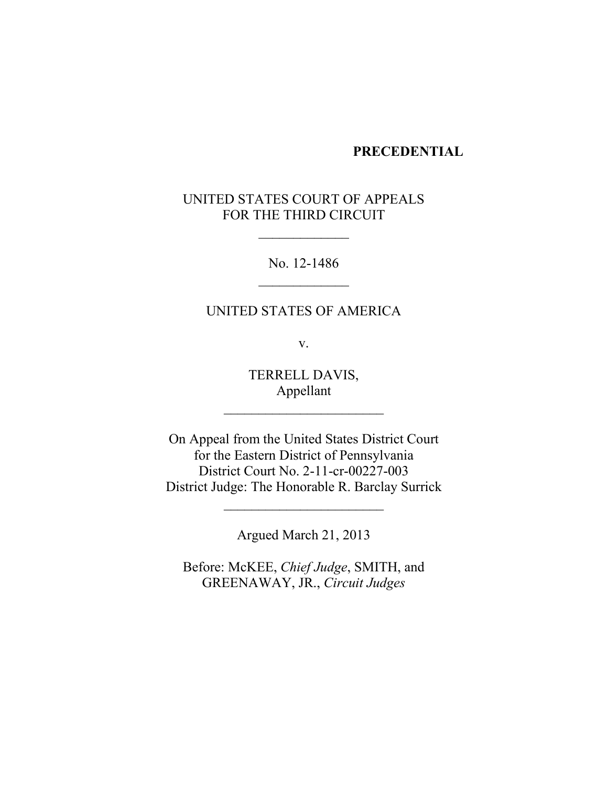#### **PRECEDENTIAL**

# UNITED STATES COURT OF APPEALS FOR THE THIRD CIRCUIT

 $\overline{\phantom{a}}$ 

No. 12-1486  $\overline{\phantom{a}}$ 

### UNITED STATES OF AMERICA

v.

TERRELL DAVIS, Appellant

\_\_\_\_\_\_\_\_\_\_\_\_\_\_\_\_\_\_\_\_\_\_\_

On Appeal from the United States District Court for the Eastern District of Pennsylvania District Court No. 2-11-cr-00227-003 District Judge: The Honorable R. Barclay Surrick

Argued March 21, 2013

 $\overline{\phantom{a}}$  , which is a set of the set of the set of the set of the set of the set of the set of the set of the set of the set of the set of the set of the set of the set of the set of the set of the set of the set of th

Before: McKEE, *Chief Judge*, SMITH, and GREENAWAY, JR., *Circuit Judges*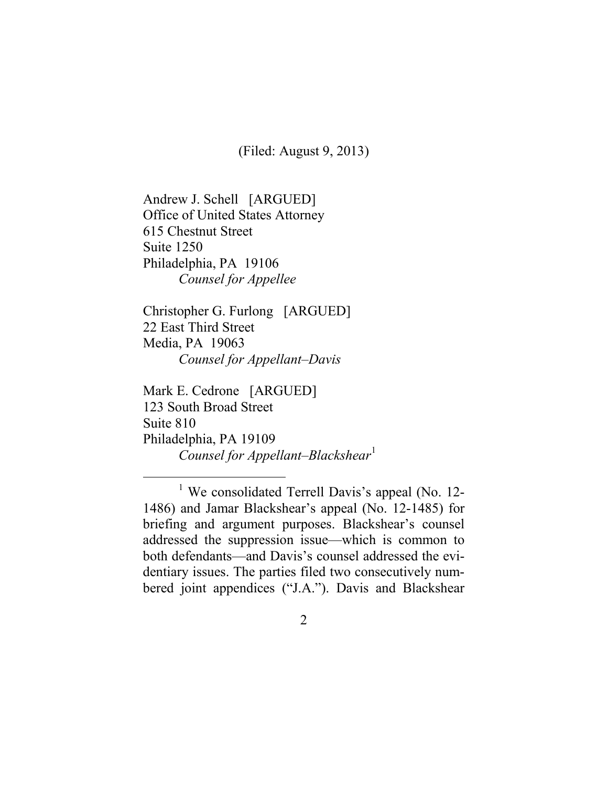(Filed: August 9, 2013)

Andrew J. Schell [ARGUED] Office of United States Attorney 615 Chestnut Street Suite 1250 Philadelphia, PA 19106 *Counsel for Appellee*

Christopher G. Furlong [ARGUED] 22 East Third Street Media, PA 19063 *Counsel for Appellant–Davis*

Mark E. Cedrone [ARGUED] 123 South Broad Street Suite 810 Philadelphia, PA 19109 *Counsel for Appellant–Blackshear*[1](#page-1-0)

<span id="page-1-0"></span><sup>&</sup>lt;sup>1</sup> We consolidated Terrell Davis's appeal (No. 12-1486) and Jamar Blackshear's appeal (No. 12-1485) for briefing and argument purposes. Blackshear's counsel addressed the suppression issue—which is common to both defendants—and Davis's counsel addressed the evidentiary issues. The parties filed two consecutively numbered joint appendices ("J.A."). Davis and Blackshear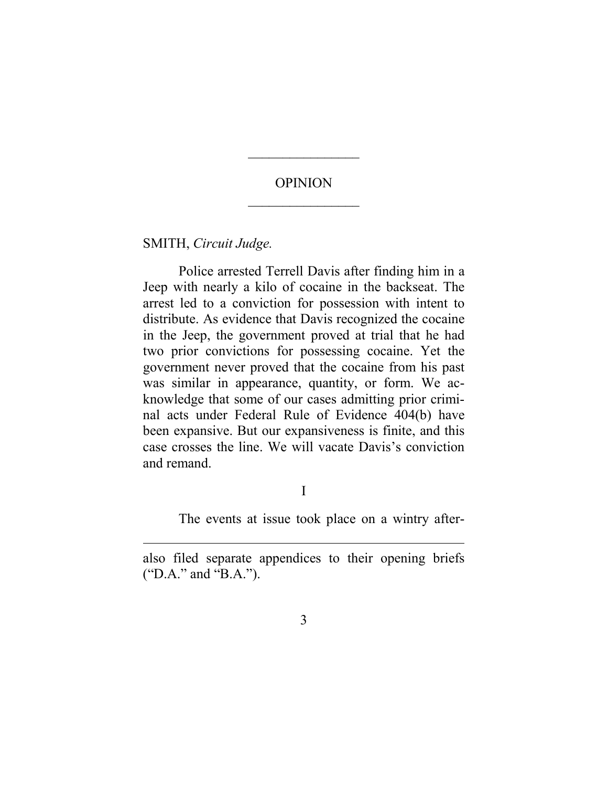## OPINION  $\overline{\phantom{a}}$

 $\overline{\phantom{a}}$ 

SMITH, *Circuit Judge.*

 $\overline{a}$ 

Police arrested Terrell Davis after finding him in a Jeep with nearly a kilo of cocaine in the backseat. The arrest led to a conviction for possession with intent to distribute. As evidence that Davis recognized the cocaine in the Jeep, the government proved at trial that he had two prior convictions for possessing cocaine. Yet the government never proved that the cocaine from his past was similar in appearance, quantity, or form. We acknowledge that some of our cases admitting prior criminal acts under Federal Rule of Evidence 404(b) have been expansive. But our expansiveness is finite, and this case crosses the line. We will vacate Davis's conviction and remand.

I

The events at issue took place on a wintry after-

also filed separate appendices to their opening briefs ("D.A." and "B.A.").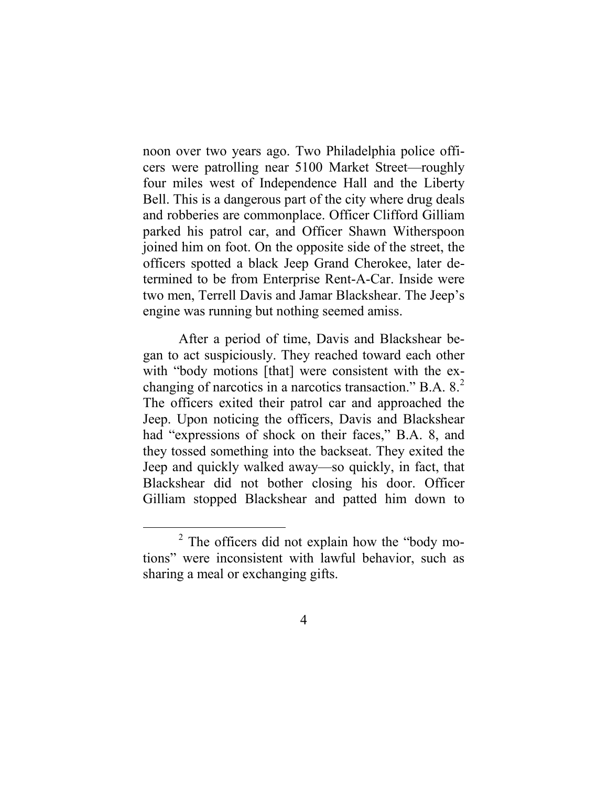noon over two years ago. Two Philadelphia police officers were patrolling near 5100 Market Street—roughly four miles west of Independence Hall and the Liberty Bell. This is a dangerous part of the city where drug deals and robberies are commonplace. Officer Clifford Gilliam parked his patrol car, and Officer Shawn Witherspoon joined him on foot. On the opposite side of the street, the officers spotted a black Jeep Grand Cherokee, later determined to be from Enterprise Rent-A-Car. Inside were two men, Terrell Davis and Jamar Blackshear. The Jeep's engine was running but nothing seemed amiss.

After a period of time, Davis and Blackshear began to act suspiciously. They reached toward each other with "body motions [that] were consistent with the exchanging of narcotics in a narcotics transaction." B.A. 8. [2](#page-3-0) The officers exited their patrol car and approached the Jeep. Upon noticing the officers, Davis and Blackshear had "expressions of shock on their faces," B.A. 8, and they tossed something into the backseat. They exited the Jeep and quickly walked away—so quickly, in fact, that Blackshear did not bother closing his door. Officer Gilliam stopped Blackshear and patted him down to

<span id="page-3-0"></span> <sup>2</sup> The officers did not explain how the "body motions" were inconsistent with lawful behavior, such as sharing a meal or exchanging gifts.

<sup>4</sup>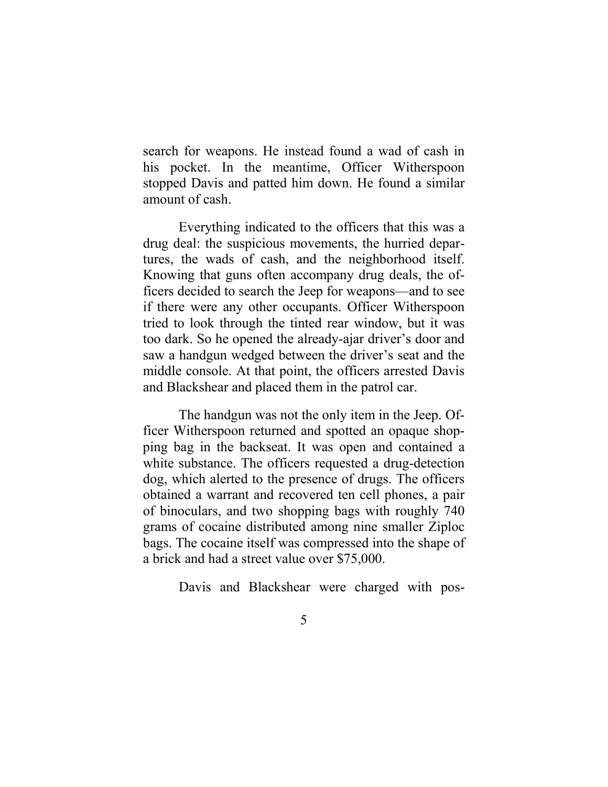search for weapons. He instead found a wad of cash in his pocket. In the meantime, Officer Witherspoon stopped Davis and patted him down. He found a similar amount of cash.

Everything indicated to the officers that this was a drug deal: the suspicious movements, the hurried departures, the wads of cash, and the neighborhood itself. Knowing that guns often accompany drug deals, the officers decided to search the Jeep for weapons—and to see if there were any other occupants. Officer Witherspoon tried to look through the tinted rear window, but it was too dark. So he opened the already-ajar driver's door and saw a handgun wedged between the driver's seat and the middle console. At that point, the officers arrested Davis and Blackshear and placed them in the patrol car.

The handgun was not the only item in the Jeep. Officer Witherspoon returned and spotted an opaque shopping bag in the backseat. It was open and contained a white substance. The officers requested a drug-detection dog, which alerted to the presence of drugs. The officers obtained a warrant and recovered ten cell phones, a pair of binoculars, and two shopping bags with roughly 740 grams of cocaine distributed among nine smaller Ziploc bags. The cocaine itself was compressed into the shape of a brick and had a street value over \$75,000.

Davis and Blackshear were charged with pos-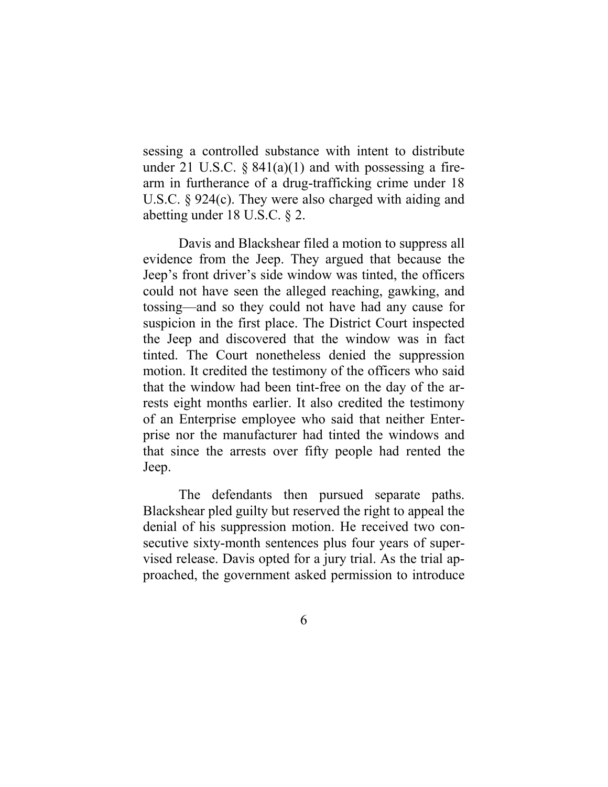sessing a controlled substance with intent to distribute under 21 U.S.C.  $\S$  841(a)(1) and with possessing a firearm in furtherance of a drug-trafficking crime under 18 U.S.C. § 924(c). They were also charged with aiding and abetting under 18 U.S.C. § 2.

Davis and Blackshear filed a motion to suppress all evidence from the Jeep. They argued that because the Jeep's front driver's side window was tinted, the officers could not have seen the alleged reaching, gawking, and tossing—and so they could not have had any cause for suspicion in the first place. The District Court inspected the Jeep and discovered that the window was in fact tinted. The Court nonetheless denied the suppression motion. It credited the testimony of the officers who said that the window had been tint-free on the day of the arrests eight months earlier. It also credited the testimony of an Enterprise employee who said that neither Enterprise nor the manufacturer had tinted the windows and that since the arrests over fifty people had rented the Jeep.

The defendants then pursued separate paths. Blackshear pled guilty but reserved the right to appeal the denial of his suppression motion. He received two consecutive sixty-month sentences plus four years of supervised release. Davis opted for a jury trial. As the trial approached, the government asked permission to introduce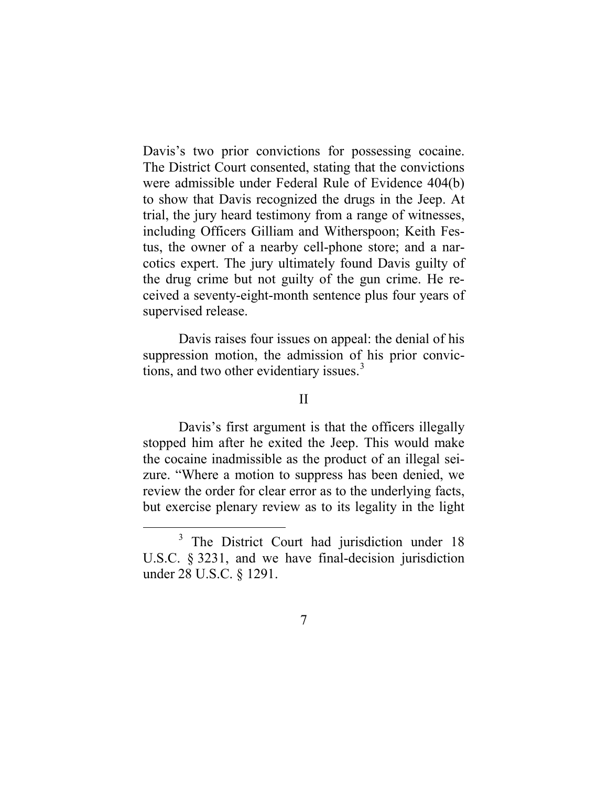Davis's two prior convictions for possessing cocaine. The District Court consented, stating that the convictions were admissible under Federal Rule of Evidence 404(b) to show that Davis recognized the drugs in the Jeep. At trial, the jury heard testimony from a range of witnesses, including Officers Gilliam and Witherspoon; Keith Festus, the owner of a nearby cell-phone store; and a narcotics expert. The jury ultimately found Davis guilty of the drug crime but not guilty of the gun crime. He received a seventy-eight-month sentence plus four years of supervised release.

Davis raises four issues on appeal: the denial of his suppression motion, the admission of his prior convictions, and two other evidentiary issues. $3$ 

#### II

Davis's first argument is that the officers illegally stopped him after he exited the Jeep. This would make the cocaine inadmissible as the product of an illegal seizure. "Where a motion to suppress has been denied, we review the order for clear error as to the underlying facts, but exercise plenary review as to its legality in the light

<span id="page-6-0"></span><sup>&</sup>lt;sup>3</sup> The District Court had jurisdiction under 18 U.S.C. § 3231, and we have final-decision jurisdiction under 28 U.S.C. § 1291.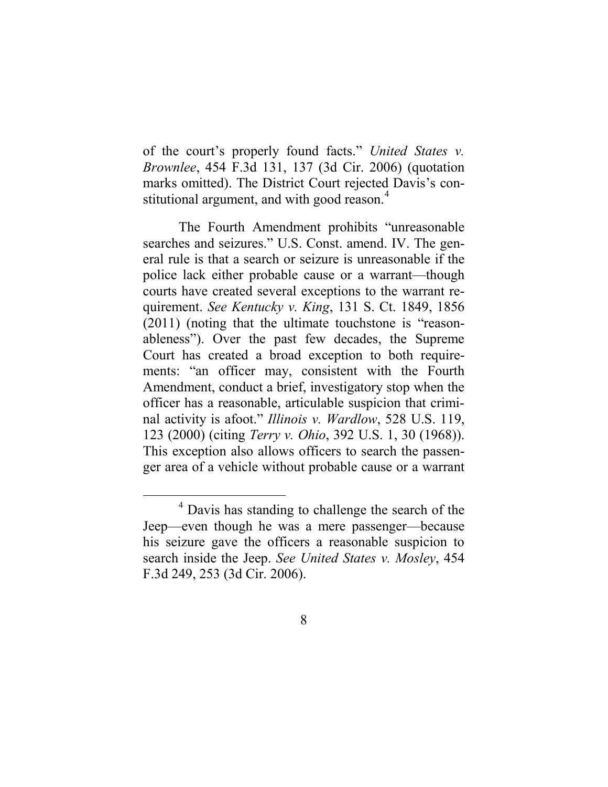of the court's properly found facts." *United States v. Brownlee*, 454 F.3d 131, 137 (3d Cir. 2006) (quotation marks omitted). The District Court rejected Davis's con-stitutional argument, and with good reason.<sup>[4](#page-7-0)</sup>

The Fourth Amendment prohibits "unreasonable searches and seizures." U.S. Const. amend. IV. The general rule is that a search or seizure is unreasonable if the police lack either probable cause or a warrant—though courts have created several exceptions to the warrant requirement. *See Kentucky v. King*, 131 S. Ct. 1849, 1856 (2011) (noting that the ultimate touchstone is "reasonableness"). Over the past few decades, the Supreme Court has created a broad exception to both requirements: "an officer may, consistent with the Fourth Amendment, conduct a brief, investigatory stop when the officer has a reasonable, articulable suspicion that criminal activity is afoot." *Illinois v. Wardlow*, 528 U.S. 119, 123 (2000) (citing *Terry v. Ohio*, 392 U.S. 1, 30 (1968)). This exception also allows officers to search the passenger area of a vehicle without probable cause or a warrant

<span id="page-7-0"></span> <sup>4</sup> Davis has standing to challenge the search of the Jeep—even though he was a mere passenger—because his seizure gave the officers a reasonable suspicion to search inside the Jeep. *See United States v. Mosley*, 454 F.3d 249, 253 (3d Cir. 2006).

<sup>8</sup>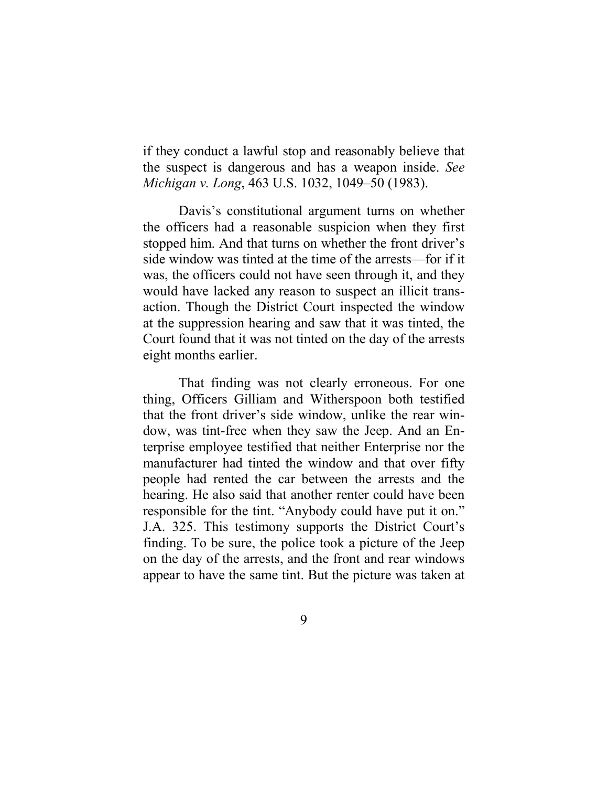if they conduct a lawful stop and reasonably believe that the suspect is dangerous and has a weapon inside. *See Michigan v. Long*, 463 U.S. 1032, 1049–50 (1983).

Davis's constitutional argument turns on whether the officers had a reasonable suspicion when they first stopped him. And that turns on whether the front driver's side window was tinted at the time of the arrests—for if it was, the officers could not have seen through it, and they would have lacked any reason to suspect an illicit transaction. Though the District Court inspected the window at the suppression hearing and saw that it was tinted, the Court found that it was not tinted on the day of the arrests eight months earlier.

That finding was not clearly erroneous. For one thing, Officers Gilliam and Witherspoon both testified that the front driver's side window, unlike the rear window, was tint-free when they saw the Jeep. And an Enterprise employee testified that neither Enterprise nor the manufacturer had tinted the window and that over fifty people had rented the car between the arrests and the hearing. He also said that another renter could have been responsible for the tint. "Anybody could have put it on." J.A. 325. This testimony supports the District Court's finding. To be sure, the police took a picture of the Jeep on the day of the arrests, and the front and rear windows appear to have the same tint. But the picture was taken at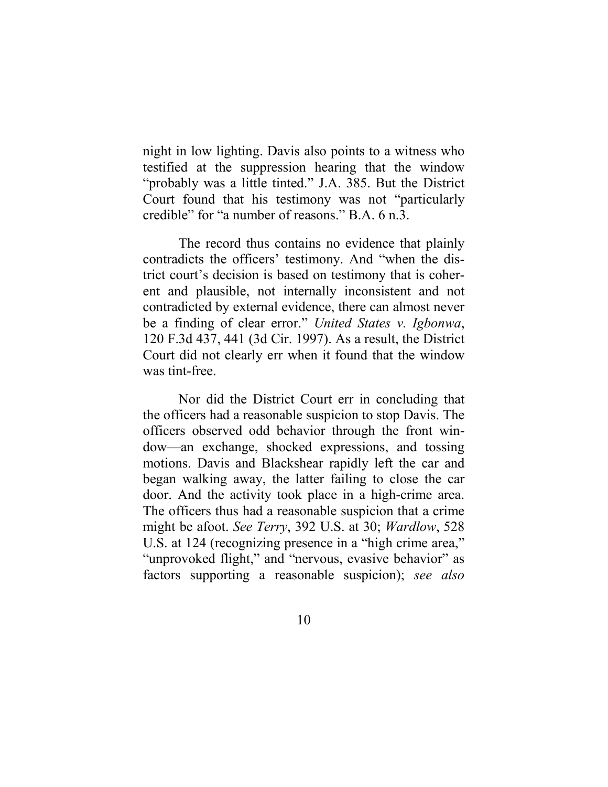night in low lighting. Davis also points to a witness who testified at the suppression hearing that the window "probably was a little tinted." J.A. 385. But the District Court found that his testimony was not "particularly credible" for "a number of reasons." B.A. 6 n.3.

The record thus contains no evidence that plainly contradicts the officers' testimony. And "when the district court's decision is based on testimony that is coherent and plausible, not internally inconsistent and not contradicted by external evidence, there can almost never be a finding of clear error." *United States v. Igbonwa*, 120 F.3d 437, 441 (3d Cir. 1997). As a result, the District Court did not clearly err when it found that the window was tint-free.

Nor did the District Court err in concluding that the officers had a reasonable suspicion to stop Davis. The officers observed odd behavior through the front window—an exchange, shocked expressions, and tossing motions. Davis and Blackshear rapidly left the car and began walking away, the latter failing to close the car door. And the activity took place in a high-crime area. The officers thus had a reasonable suspicion that a crime might be afoot. *See Terry*, 392 U.S. at 30; *Wardlow*, 528 U.S. at 124 (recognizing presence in a "high crime area," "unprovoked flight," and "nervous, evasive behavior" as factors supporting a reasonable suspicion); *see also*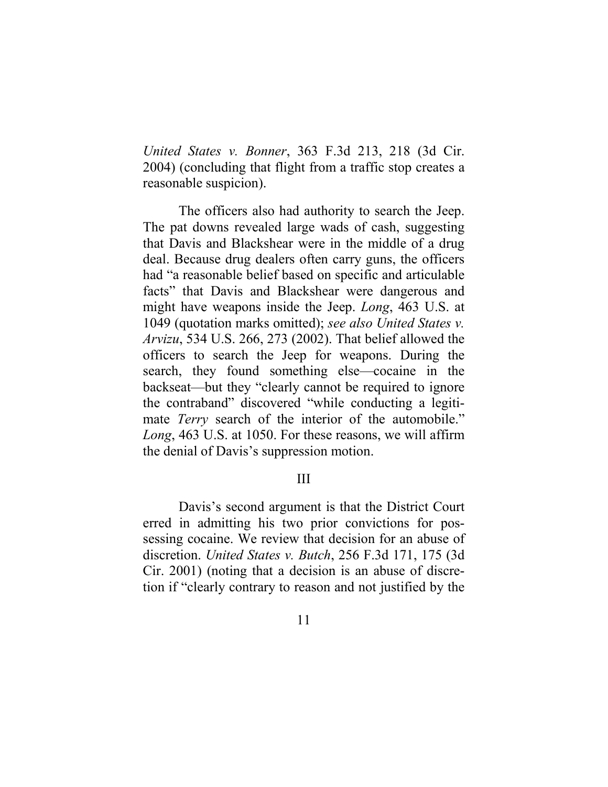*United States v. Bonner*, 363 F.3d 213, 218 (3d Cir. 2004) (concluding that flight from a traffic stop creates a reasonable suspicion).

The officers also had authority to search the Jeep. The pat downs revealed large wads of cash, suggesting that Davis and Blackshear were in the middle of a drug deal. Because drug dealers often carry guns, the officers had "a reasonable belief based on specific and articulable facts" that Davis and Blackshear were dangerous and might have weapons inside the Jeep. *Long*, 463 U.S. at 1049 (quotation marks omitted); *see also United States v. Arvizu*, 534 U.S. 266, 273 (2002). That belief allowed the officers to search the Jeep for weapons. During the search, they found something else—cocaine in the backseat—but they "clearly cannot be required to ignore the contraband" discovered "while conducting a legitimate *Terry* search of the interior of the automobile." *Long*, 463 U.S. at 1050. For these reasons, we will affirm the denial of Davis's suppression motion.

#### III

Davis's second argument is that the District Court erred in admitting his two prior convictions for possessing cocaine. We review that decision for an abuse of discretion. *United States v. Butch*, 256 F.3d 171, 175 (3d Cir. 2001) (noting that a decision is an abuse of discretion if "clearly contrary to reason and not justified by the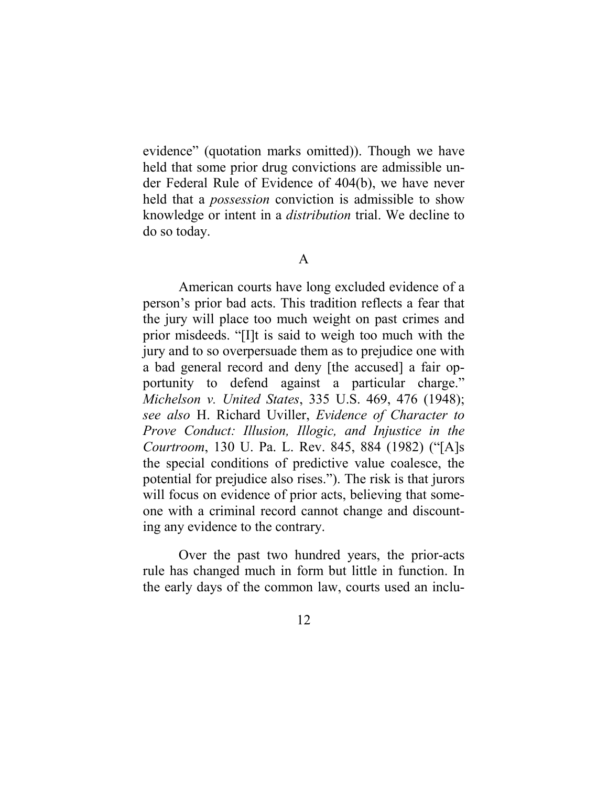evidence" (quotation marks omitted)). Though we have held that some prior drug convictions are admissible under Federal Rule of Evidence of 404(b), we have never held that a *possession* conviction is admissible to show knowledge or intent in a *distribution* trial. We decline to do so today.

#### A

American courts have long excluded evidence of a person's prior bad acts. This tradition reflects a fear that the jury will place too much weight on past crimes and prior misdeeds. "[I]t is said to weigh too much with the jury and to so overpersuade them as to prejudice one with a bad general record and deny [the accused] a fair opportunity to defend against a particular charge." *Michelson v. United States*, 335 U.S. 469, 476 (1948); *see also* H. Richard Uviller, *Evidence of Character to Prove Conduct: Illusion, Illogic, and Injustice in the Courtroom*, 130 U. Pa. L. Rev. 845, 884 (1982) ("[A]s the special conditions of predictive value coalesce, the potential for prejudice also rises."). The risk is that jurors will focus on evidence of prior acts, believing that someone with a criminal record cannot change and discounting any evidence to the contrary.

Over the past two hundred years, the prior-acts rule has changed much in form but little in function. In the early days of the common law, courts used an inclu-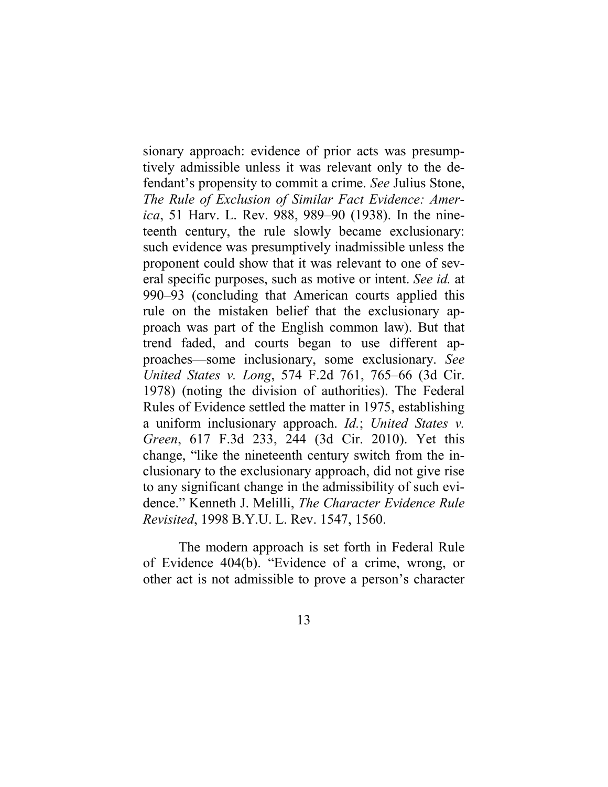sionary approach: evidence of prior acts was presumptively admissible unless it was relevant only to the defendant's propensity to commit a crime. *See* Julius Stone, *The Rule of Exclusion of Similar Fact Evidence: America*, 51 Harv. L. Rev. 988, 989–90 (1938). In the nineteenth century, the rule slowly became exclusionary: such evidence was presumptively inadmissible unless the proponent could show that it was relevant to one of several specific purposes, such as motive or intent. *See id.* at 990–93 (concluding that American courts applied this rule on the mistaken belief that the exclusionary approach was part of the English common law). But that trend faded, and courts began to use different approaches—some inclusionary, some exclusionary. *See United States v. Long*, 574 F.2d 761, 765–66 (3d Cir. 1978) (noting the division of authorities). The Federal Rules of Evidence settled the matter in 1975, establishing a uniform inclusionary approach. *Id.*; *United States v. Green*, 617 F.3d 233, 244 (3d Cir. 2010). Yet this change, "like the nineteenth century switch from the inclusionary to the exclusionary approach, did not give rise to any significant change in the admissibility of such evidence." Kenneth J. Melilli, *The Character Evidence Rule Revisited*, 1998 B.Y.U. L. Rev. 1547, 1560.

The modern approach is set forth in Federal Rule of Evidence 404(b). "Evidence of a crime, wrong, or other act is not admissible to prove a person's character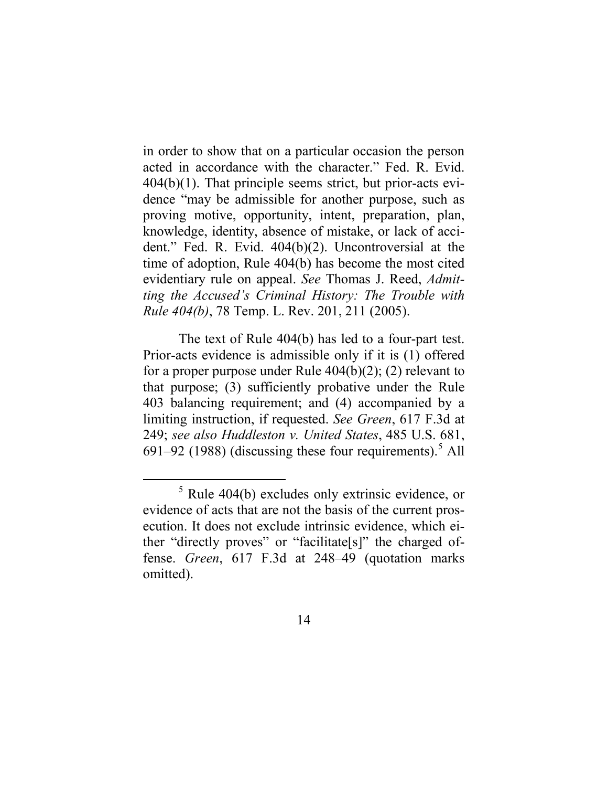in order to show that on a particular occasion the person acted in accordance with the character." Fed. R. Evid. 404(b)(1). That principle seems strict, but prior-acts evidence "may be admissible for another purpose, such as proving motive, opportunity, intent, preparation, plan, knowledge, identity, absence of mistake, or lack of accident." Fed. R. Evid. 404(b)(2). Uncontroversial at the time of adoption, Rule 404(b) has become the most cited evidentiary rule on appeal. *See* Thomas J. Reed, *Admitting the Accused's Criminal History: The Trouble with Rule 404(b)*, 78 Temp. L. Rev. 201, 211 (2005).

The text of Rule 404(b) has led to a four-part test. Prior-acts evidence is admissible only if it is (1) offered for a proper purpose under Rule 404(b)(2); (2) relevant to that purpose; (3) sufficiently probative under the Rule 403 balancing requirement; and (4) accompanied by a limiting instruction, if requested. *See Green*, 617 F.3d at 249; *see also Huddleston v. United States*, 485 U.S. 681, 691–92 (1988) (discussing these four requirements).<sup>[5](#page-13-0)</sup> All

<span id="page-13-0"></span> $5$  Rule 404(b) excludes only extrinsic evidence, or evidence of acts that are not the basis of the current prosecution. It does not exclude intrinsic evidence, which either "directly proves" or "facilitate[s]" the charged offense. *Green*, 617 F.3d at 248–49 (quotation marks omitted).

<sup>14</sup>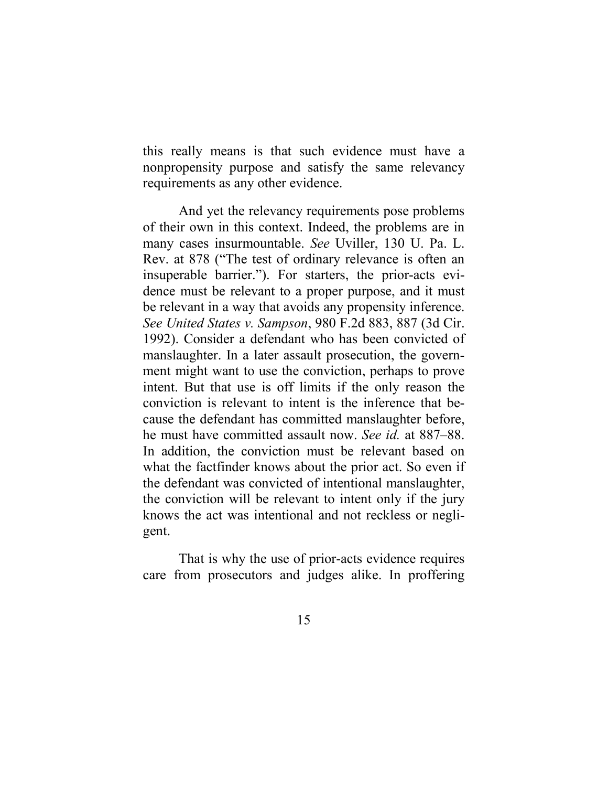this really means is that such evidence must have a nonpropensity purpose and satisfy the same relevancy requirements as any other evidence.

And yet the relevancy requirements pose problems of their own in this context. Indeed, the problems are in many cases insurmountable. *See* Uviller, 130 U. Pa. L. Rev. at 878 ("The test of ordinary relevance is often an insuperable barrier."). For starters, the prior-acts evidence must be relevant to a proper purpose, and it must be relevant in a way that avoids any propensity inference. *See United States v. Sampson*, 980 F.2d 883, 887 (3d Cir. 1992). Consider a defendant who has been convicted of manslaughter. In a later assault prosecution, the government might want to use the conviction, perhaps to prove intent. But that use is off limits if the only reason the conviction is relevant to intent is the inference that because the defendant has committed manslaughter before, he must have committed assault now. *See id.* at 887–88. In addition, the conviction must be relevant based on what the factfinder knows about the prior act. So even if the defendant was convicted of intentional manslaughter, the conviction will be relevant to intent only if the jury knows the act was intentional and not reckless or negligent.

That is why the use of prior-acts evidence requires care from prosecutors and judges alike. In proffering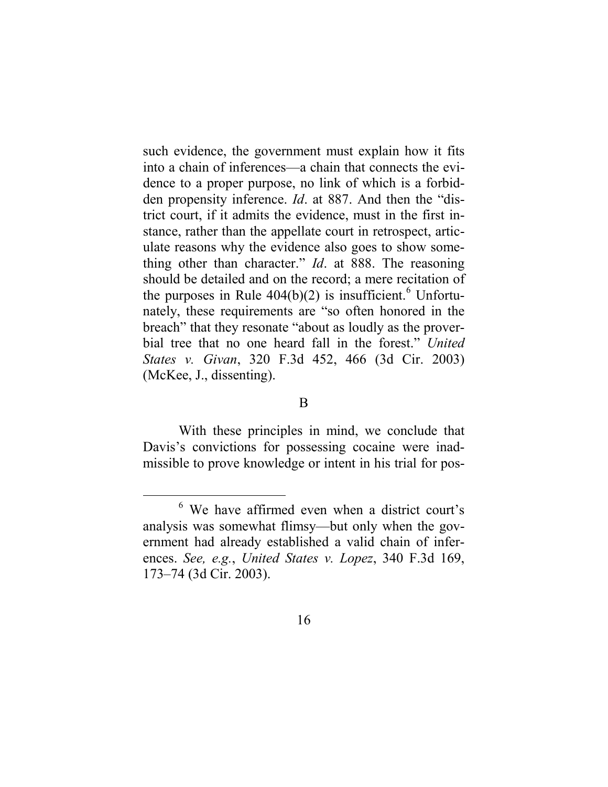such evidence, the government must explain how it fits into a chain of inferences—a chain that connects the evidence to a proper purpose, no link of which is a forbidden propensity inference. *Id*. at 887. And then the "district court, if it admits the evidence, must in the first instance, rather than the appellate court in retrospect, articulate reasons why the evidence also goes to show something other than character." *Id*. at 888. The reasoning should be detailed and on the record; a mere recitation of the purposes in Rule  $404(b)(2)$  is insufficient.<sup>[6](#page-15-0)</sup> Unfortunately, these requirements are "so often honored in the breach" that they resonate "about as loudly as the proverbial tree that no one heard fall in the forest." *United States v. Givan*, 320 F.3d 452, 466 (3d Cir. 2003) (McKee, J., dissenting).

B

With these principles in mind, we conclude that Davis's convictions for possessing cocaine were inadmissible to prove knowledge or intent in his trial for pos-

<span id="page-15-0"></span> <sup>6</sup> We have affirmed even when a district court's analysis was somewhat flimsy—but only when the government had already established a valid chain of inferences. *See, e.g.*, *United States v. Lopez*, 340 F.3d 169, 173–74 (3d Cir. 2003).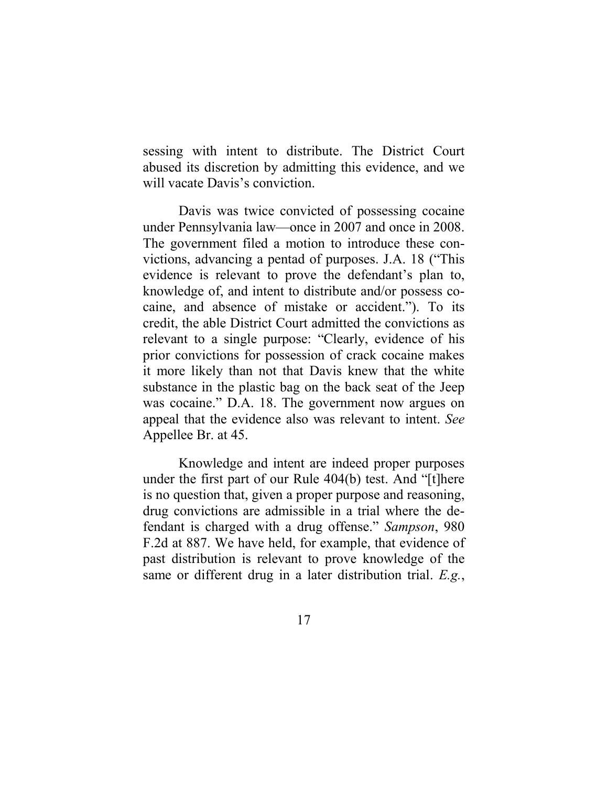sessing with intent to distribute. The District Court abused its discretion by admitting this evidence, and we will vacate Davis's conviction.

Davis was twice convicted of possessing cocaine under Pennsylvania law—once in 2007 and once in 2008. The government filed a motion to introduce these convictions, advancing a pentad of purposes. J.A. 18 ("This evidence is relevant to prove the defendant's plan to, knowledge of, and intent to distribute and/or possess cocaine, and absence of mistake or accident."). To its credit, the able District Court admitted the convictions as relevant to a single purpose: "Clearly, evidence of his prior convictions for possession of crack cocaine makes it more likely than not that Davis knew that the white substance in the plastic bag on the back seat of the Jeep was cocaine." D.A. 18. The government now argues on appeal that the evidence also was relevant to intent. *See*  Appellee Br. at 45.

Knowledge and intent are indeed proper purposes under the first part of our Rule 404(b) test. And "[t]here is no question that, given a proper purpose and reasoning, drug convictions are admissible in a trial where the defendant is charged with a drug offense." *Sampson*, 980 F.2d at 887. We have held, for example, that evidence of past distribution is relevant to prove knowledge of the same or different drug in a later distribution trial. *E.g.*,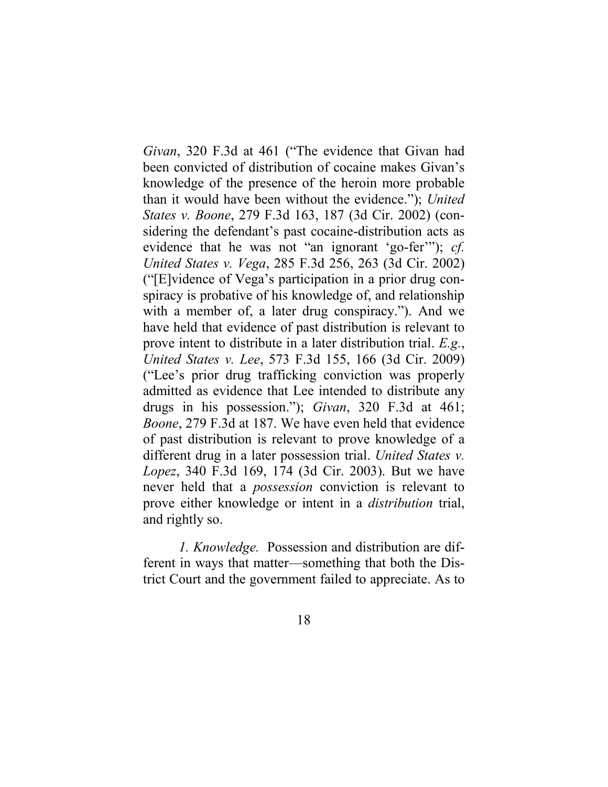*Givan*, 320 F.3d at 461 ("The evidence that Givan had been convicted of distribution of cocaine makes Givan's knowledge of the presence of the heroin more probable than it would have been without the evidence."); *United States v. Boone*, 279 F.3d 163, 187 (3d Cir. 2002) (considering the defendant's past cocaine-distribution acts as evidence that he was not "an ignorant 'go-fer'"); *cf. United States v. Vega*, 285 F.3d 256, 263 (3d Cir. 2002) ("[E]vidence of Vega's participation in a prior drug conspiracy is probative of his knowledge of, and relationship with a member of, a later drug conspiracy."). And we have held that evidence of past distribution is relevant to prove intent to distribute in a later distribution trial. *E.g.*, *United States v. Lee*, 573 F.3d 155, 166 (3d Cir. 2009) ("Lee's prior drug trafficking conviction was properly admitted as evidence that Lee intended to distribute any drugs in his possession."); *Givan*, 320 F.3d at 461; *Boone*, 279 F.3d at 187. We have even held that evidence of past distribution is relevant to prove knowledge of a different drug in a later possession trial. *United States v. Lopez*, 340 F.3d 169, 174 (3d Cir. 2003). But we have never held that a *possession* conviction is relevant to prove either knowledge or intent in a *distribution* trial, and rightly so.

*1. Knowledge.* Possession and distribution are different in ways that matter—something that both the District Court and the government failed to appreciate. As to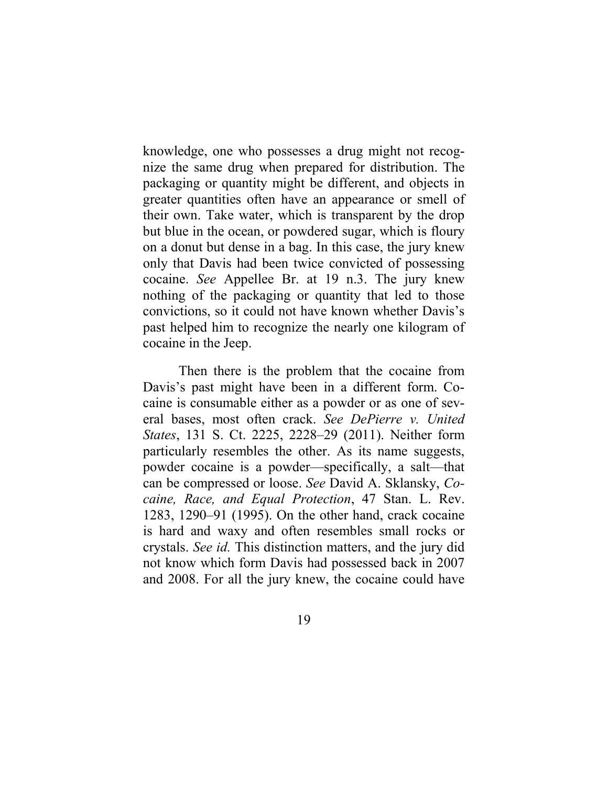knowledge, one who possesses a drug might not recognize the same drug when prepared for distribution. The packaging or quantity might be different, and objects in greater quantities often have an appearance or smell of their own. Take water, which is transparent by the drop but blue in the ocean, or powdered sugar, which is floury on a donut but dense in a bag. In this case, the jury knew only that Davis had been twice convicted of possessing cocaine. *See* Appellee Br. at 19 n.3. The jury knew nothing of the packaging or quantity that led to those convictions, so it could not have known whether Davis's past helped him to recognize the nearly one kilogram of cocaine in the Jeep.

Then there is the problem that the cocaine from Davis's past might have been in a different form. Cocaine is consumable either as a powder or as one of several bases, most often crack. *See DePierre v. United States*, 131 S. Ct. 2225, 2228–29 (2011). Neither form particularly resembles the other. As its name suggests, powder cocaine is a powder—specifically, a salt—that can be compressed or loose. *See* David A. Sklansky, *Cocaine, Race, and Equal Protection*, 47 Stan. L. Rev. 1283, 1290–91 (1995). On the other hand, crack cocaine is hard and waxy and often resembles small rocks or crystals. *See id.* This distinction matters, and the jury did not know which form Davis had possessed back in 2007 and 2008. For all the jury knew, the cocaine could have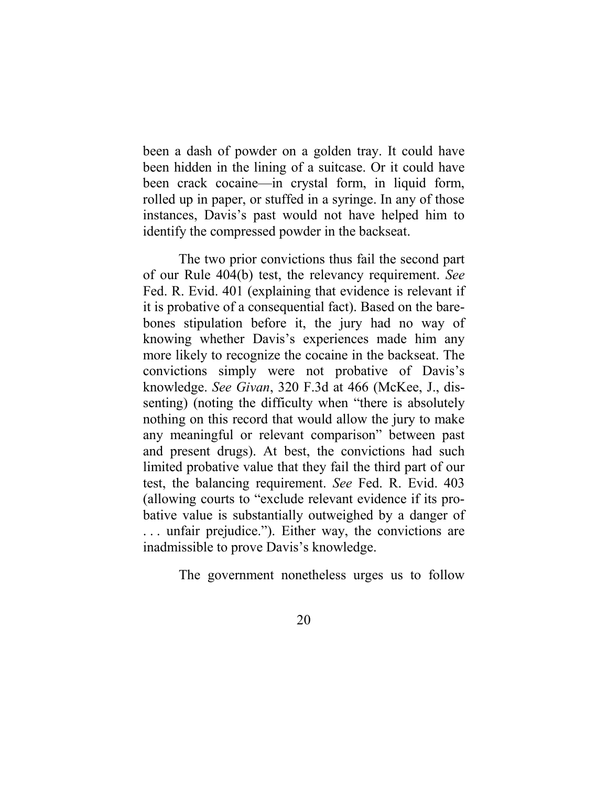been a dash of powder on a golden tray. It could have been hidden in the lining of a suitcase. Or it could have been crack cocaine—in crystal form, in liquid form, rolled up in paper, or stuffed in a syringe. In any of those instances, Davis's past would not have helped him to identify the compressed powder in the backseat.

The two prior convictions thus fail the second part of our Rule 404(b) test, the relevancy requirement. *See* Fed. R. Evid. 401 (explaining that evidence is relevant if it is probative of a consequential fact). Based on the barebones stipulation before it, the jury had no way of knowing whether Davis's experiences made him any more likely to recognize the cocaine in the backseat. The convictions simply were not probative of Davis's knowledge. *See Givan*, 320 F.3d at 466 (McKee, J., dissenting) (noting the difficulty when "there is absolutely nothing on this record that would allow the jury to make any meaningful or relevant comparison" between past and present drugs). At best, the convictions had such limited probative value that they fail the third part of our test, the balancing requirement. *See* Fed. R. Evid. 403 (allowing courts to "exclude relevant evidence if its probative value is substantially outweighed by a danger of . . . unfair prejudice."). Either way, the convictions are inadmissible to prove Davis's knowledge.

The government nonetheless urges us to follow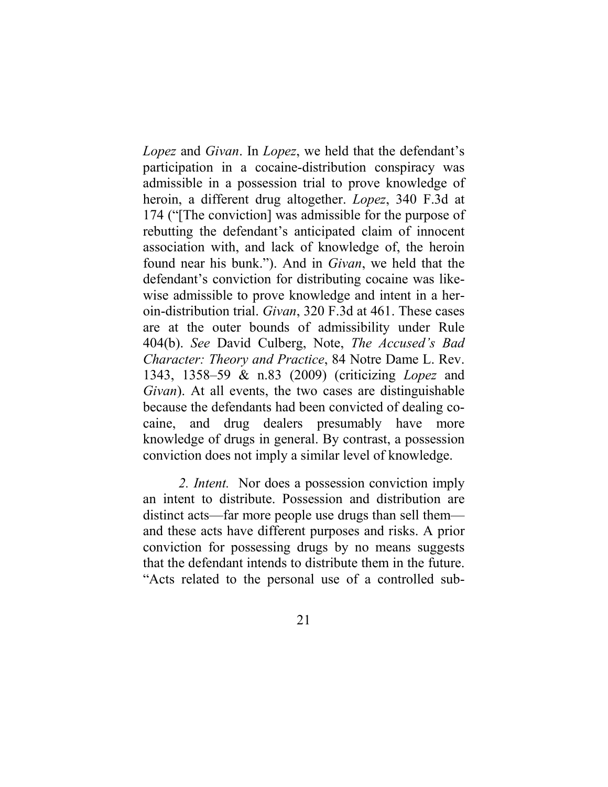*Lopez* and *Givan*. In *Lopez*, we held that the defendant's participation in a cocaine-distribution conspiracy was admissible in a possession trial to prove knowledge of heroin, a different drug altogether. *Lopez*, 340 F.3d at 174 ("[The conviction] was admissible for the purpose of rebutting the defendant's anticipated claim of innocent association with, and lack of knowledge of, the heroin found near his bunk."). And in *Givan*, we held that the defendant's conviction for distributing cocaine was likewise admissible to prove knowledge and intent in a heroin-distribution trial. *Givan*, 320 F.3d at 461. These cases are at the outer bounds of admissibility under Rule 404(b). *See* David Culberg, Note, *The Accused's Bad Character: Theory and Practice*, 84 Notre Dame L. Rev. 1343, 1358–59 & n.83 (2009) (criticizing *Lopez* and *Givan*). At all events, the two cases are distinguishable because the defendants had been convicted of dealing cocaine, and drug dealers presumably have more knowledge of drugs in general. By contrast, a possession conviction does not imply a similar level of knowledge.

*2. Intent.* Nor does a possession conviction imply an intent to distribute. Possession and distribution are distinct acts—far more people use drugs than sell them and these acts have different purposes and risks. A prior conviction for possessing drugs by no means suggests that the defendant intends to distribute them in the future. "Acts related to the personal use of a controlled sub-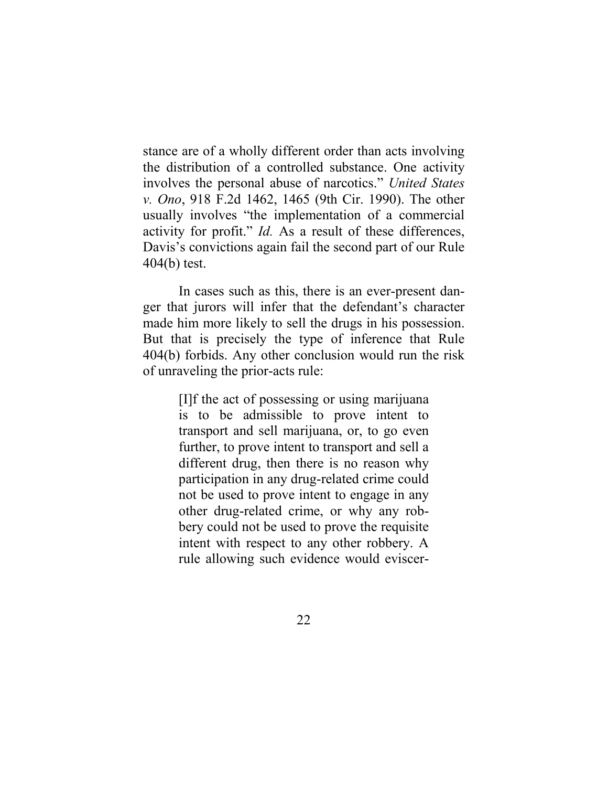stance are of a wholly different order than acts involving the distribution of a controlled substance. One activity involves the personal abuse of narcotics." *United States v. Ono*, 918 F.2d 1462, 1465 (9th Cir. 1990). The other usually involves "the implementation of a commercial activity for profit." *Id.* As a result of these differences, Davis's convictions again fail the second part of our Rule 404(b) test.

In cases such as this, there is an ever-present danger that jurors will infer that the defendant's character made him more likely to sell the drugs in his possession. But that is precisely the type of inference that Rule 404(b) forbids. Any other conclusion would run the risk of unraveling the prior-acts rule:

> [I]f the act of possessing or using marijuana is to be admissible to prove intent to transport and sell marijuana, or, to go even further, to prove intent to transport and sell a different drug, then there is no reason why participation in any drug-related crime could not be used to prove intent to engage in any other drug-related crime, or why any robbery could not be used to prove the requisite intent with respect to any other robbery. A rule allowing such evidence would eviscer-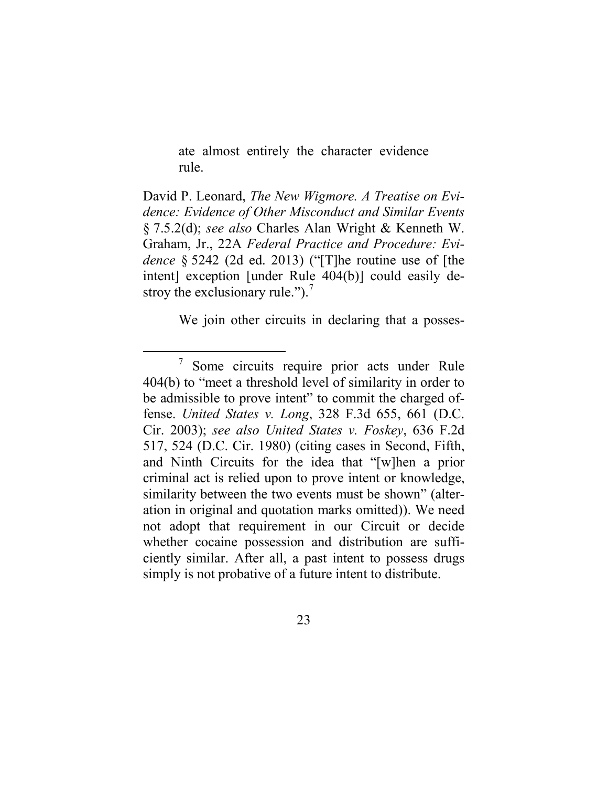ate almost entirely the character evidence rule.

David P. Leonard, *The New Wigmore. A Treatise on Evidence: Evidence of Other Misconduct and Similar Events* § 7.5.2(d); *see also* Charles Alan Wright & Kenneth W. Graham, Jr., 22A *Federal Practice and Procedure: Evidence* § 5242 (2d ed. 2013) ("[T]he routine use of [the intent] exception [under Rule 404(b)] could easily destroy the exclusionary rule." $)$ .<sup>[7](#page-22-0)</sup>

We join other circuits in declaring that a posses-

<span id="page-22-0"></span> <sup>7</sup> Some circuits require prior acts under Rule 404(b) to "meet a threshold level of similarity in order to be admissible to prove intent" to commit the charged offense. *United States v. Long*, 328 F.3d 655, 661 (D.C. Cir. 2003); *see also United States v. Foskey*, 636 F.2d 517, 524 (D.C. Cir. 1980) (citing cases in Second, Fifth, and Ninth Circuits for the idea that "[w]hen a prior criminal act is relied upon to prove intent or knowledge, similarity between the two events must be shown" (alteration in original and quotation marks omitted)). We need not adopt that requirement in our Circuit or decide whether cocaine possession and distribution are sufficiently similar. After all, a past intent to possess drugs simply is not probative of a future intent to distribute.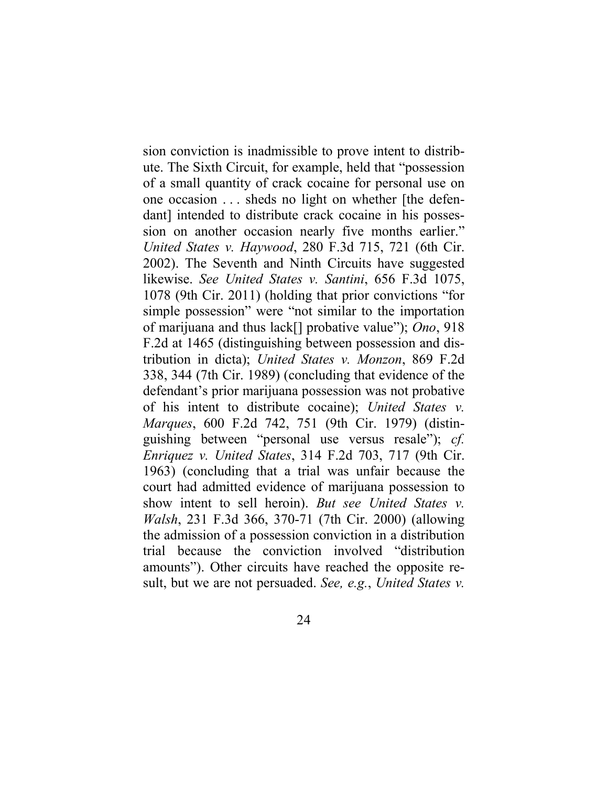sion conviction is inadmissible to prove intent to distribute. The Sixth Circuit, for example, held that "possession of a small quantity of crack cocaine for personal use on one occasion . . . sheds no light on whether [the defendant] intended to distribute crack cocaine in his possession on another occasion nearly five months earlier." *United States v. Haywood*, 280 F.3d 715, 721 (6th Cir. 2002). The Seventh and Ninth Circuits have suggested likewise. *See United States v. Santini*, 656 F.3d 1075, 1078 (9th Cir. 2011) (holding that prior convictions "for simple possession" were "not similar to the importation of marijuana and thus lack[] probative value"); *Ono*, 918 F.2d at 1465 (distinguishing between possession and distribution in dicta); *United States v. Monzon*, 869 F.2d 338, 344 (7th Cir. 1989) (concluding that evidence of the defendant's prior marijuana possession was not probative of his intent to distribute cocaine); *United States v. Marques*, 600 F.2d 742, 751 (9th Cir. 1979) (distinguishing between "personal use versus resale"); *cf. Enriquez v. United States*, 314 F.2d 703, 717 (9th Cir. 1963) (concluding that a trial was unfair because the court had admitted evidence of marijuana possession to show intent to sell heroin). *But see United States v. Walsh*, 231 F.3d 366, 370-71 (7th Cir. 2000) (allowing the admission of a possession conviction in a distribution trial because the conviction involved "distribution amounts"). Other circuits have reached the opposite result, but we are not persuaded. *See, e.g.*, *United States v.*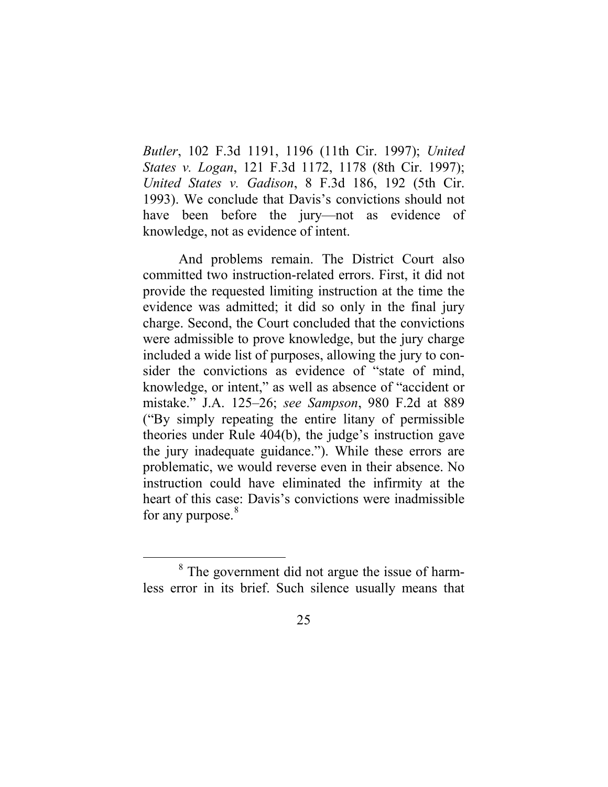*Butler*, 102 F.3d 1191, 1196 (11th Cir. 1997); *United States v. Logan*, 121 F.3d 1172, 1178 (8th Cir. 1997); *United States v. Gadison*, 8 F.3d 186, 192 (5th Cir. 1993). We conclude that Davis's convictions should not have been before the jury—not as evidence of knowledge, not as evidence of intent.

And problems remain. The District Court also committed two instruction-related errors. First, it did not provide the requested limiting instruction at the time the evidence was admitted; it did so only in the final jury charge. Second, the Court concluded that the convictions were admissible to prove knowledge, but the jury charge included a wide list of purposes, allowing the jury to consider the convictions as evidence of "state of mind, knowledge, or intent," as well as absence of "accident or mistake." J.A. 125–26; *see Sampson*, 980 F.2d at 889 ("By simply repeating the entire litany of permissible theories under Rule 404(b), the judge's instruction gave the jury inadequate guidance."). While these errors are problematic, we would reverse even in their absence. No instruction could have eliminated the infirmity at the heart of this case: Davis's convictions were inadmissible for any purpose.<sup>[8](#page-24-0)</sup>

<span id="page-24-0"></span><sup>&</sup>lt;sup>8</sup> The government did not argue the issue of harmless error in its brief. Such silence usually means that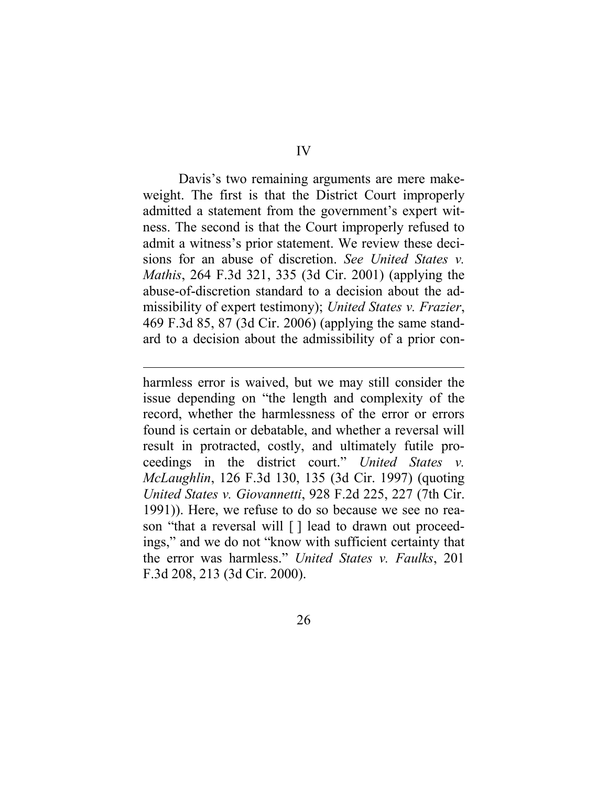Davis's two remaining arguments are mere makeweight. The first is that the District Court improperly admitted a statement from the government's expert witness. The second is that the Court improperly refused to admit a witness's prior statement. We review these decisions for an abuse of discretion. *See United States v. Mathis*, 264 F.3d 321, 335 (3d Cir. 2001) (applying the abuse-of-discretion standard to a decision about the admissibility of expert testimony); *United States v. Frazier*, 469 F.3d 85, 87 (3d Cir. 2006) (applying the same standard to a decision about the admissibility of a prior con-

 $\overline{a}$ 

harmless error is waived, but we may still consider the issue depending on "the length and complexity of the record, whether the harmlessness of the error or errors found is certain or debatable, and whether a reversal will result in protracted, costly, and ultimately futile proceedings in the district court." *United States v. McLaughlin*, 126 F.3d 130, 135 (3d Cir. 1997) (quoting *United States v. Giovannetti*, 928 F.2d 225, 227 (7th Cir. 1991)). Here, we refuse to do so because we see no reason "that a reversal will [ ] lead to drawn out proceedings," and we do not "know with sufficient certainty that the error was harmless." *United States v. Faulks*, 201 F.3d 208, 213 (3d Cir. 2000).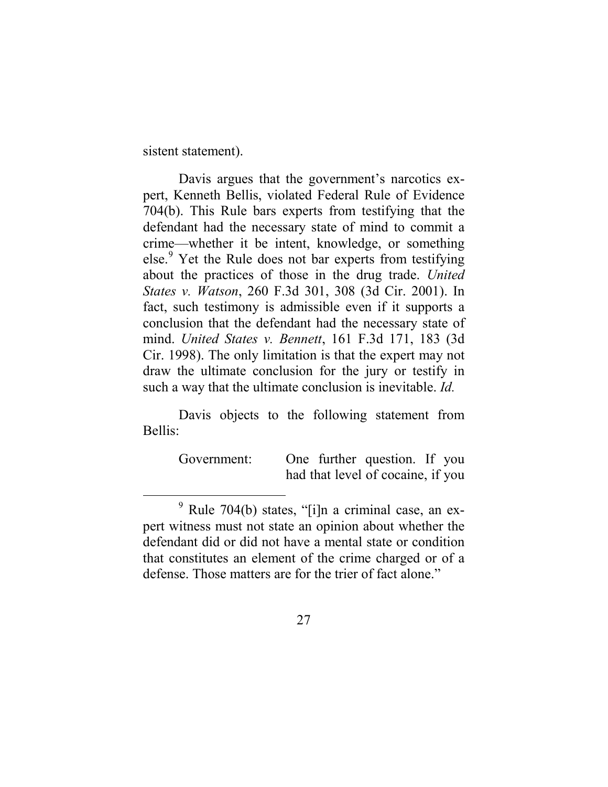sistent statement).

Davis argues that the government's narcotics expert, Kenneth Bellis, violated Federal Rule of Evidence 704(b). This Rule bars experts from testifying that the defendant had the necessary state of mind to commit a crime—whether it be intent, knowledge, or something else. [9](#page-26-0) Yet the Rule does not bar experts from testifying about the practices of those in the drug trade. *United States v. Watson*, 260 F.3d 301, 308 (3d Cir. 2001). In fact, such testimony is admissible even if it supports a conclusion that the defendant had the necessary state of mind. *United States v. Bennett*, 161 F.3d 171, 183 (3d Cir. 1998). The only limitation is that the expert may not draw the ultimate conclusion for the jury or testify in such a way that the ultimate conclusion is inevitable. *Id.*

Davis objects to the following statement from Bellis:

> Government: One further question. If you had that level of cocaine, if you

<span id="page-26-0"></span> $9$  Rule 704(b) states, "[i]n a criminal case, an expert witness must not state an opinion about whether the defendant did or did not have a mental state or condition that constitutes an element of the crime charged or of a defense. Those matters are for the trier of fact alone."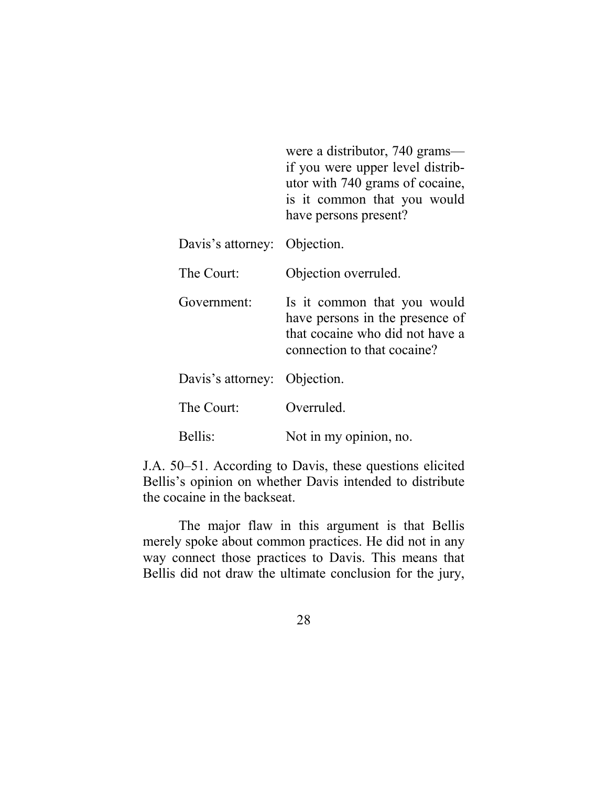|                              | were a distributor, 740 grams—<br>if you were upper level distrib-<br>utor with 740 grams of cocaine,<br>is it common that you would<br>have persons present? |
|------------------------------|---------------------------------------------------------------------------------------------------------------------------------------------------------------|
| Davis's attorney: Objection. |                                                                                                                                                               |
| The Court:                   | Objection overruled.                                                                                                                                          |
| Government:                  | Is it common that you would<br>have persons in the presence of<br>that cocaine who did not have a<br>connection to that cocaine?                              |
| Davis's attorney: Objection. |                                                                                                                                                               |
| The Court:                   | Overruled.                                                                                                                                                    |
| Bellis:                      | Not in my opinion, no.                                                                                                                                        |

J.A. 50–51. According to Davis, these questions elicited Bellis's opinion on whether Davis intended to distribute the cocaine in the backseat.

The major flaw in this argument is that Bellis merely spoke about common practices. He did not in any way connect those practices to Davis. This means that Bellis did not draw the ultimate conclusion for the jury,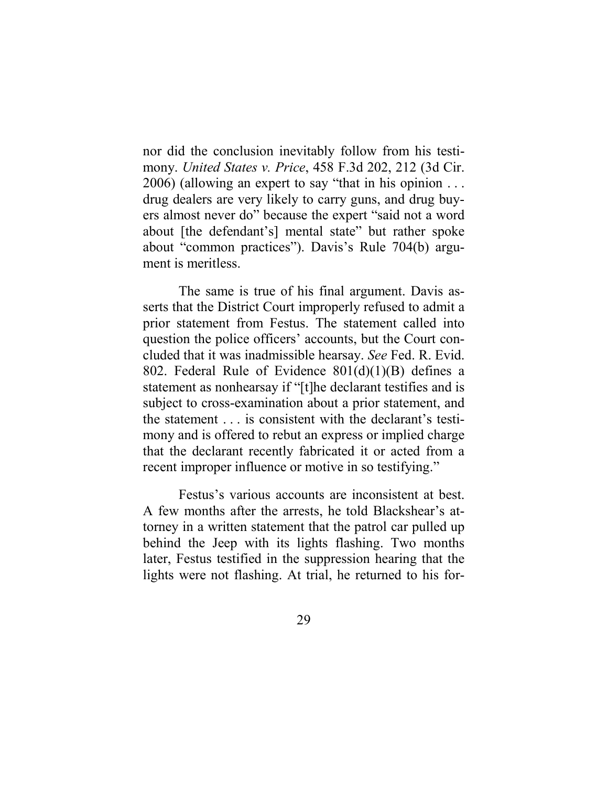nor did the conclusion inevitably follow from his testimony. *United States v. Price*, 458 F.3d 202, 212 (3d Cir. 2006) (allowing an expert to say "that in his opinion . . . drug dealers are very likely to carry guns, and drug buyers almost never do" because the expert "said not a word about [the defendant's] mental state" but rather spoke about "common practices"). Davis's Rule 704(b) argument is meritless.

The same is true of his final argument. Davis asserts that the District Court improperly refused to admit a prior statement from Festus. The statement called into question the police officers' accounts, but the Court concluded that it was inadmissible hearsay. *See* Fed. R. Evid. 802. Federal Rule of Evidence  $801(d)(1)(B)$  defines a statement as nonhearsay if "[t]he declarant testifies and is subject to cross-examination about a prior statement, and the statement . . . is consistent with the declarant's testimony and is offered to rebut an express or implied charge that the declarant recently fabricated it or acted from a recent improper influence or motive in so testifying."

Festus's various accounts are inconsistent at best. A few months after the arrests, he told Blackshear's attorney in a written statement that the patrol car pulled up behind the Jeep with its lights flashing. Two months later, Festus testified in the suppression hearing that the lights were not flashing. At trial, he returned to his for-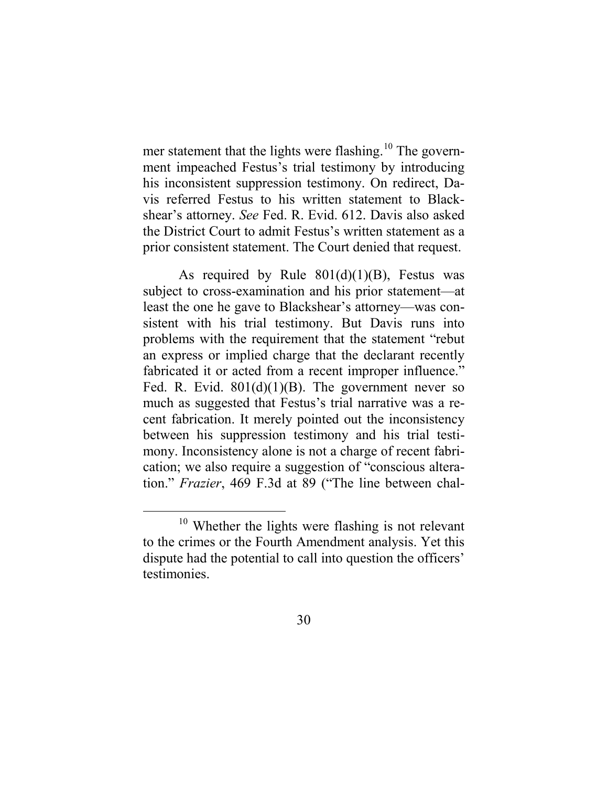mer statement that the lights were flashing.<sup>[10](#page-29-0)</sup> The government impeached Festus's trial testimony by introducing his inconsistent suppression testimony. On redirect, Davis referred Festus to his written statement to Blackshear's attorney. *See* Fed. R. Evid. 612. Davis also asked the District Court to admit Festus's written statement as a prior consistent statement. The Court denied that request.

As required by Rule  $801(d)(1)(B)$ , Festus was subject to cross-examination and his prior statement—at least the one he gave to Blackshear's attorney—was consistent with his trial testimony. But Davis runs into problems with the requirement that the statement "rebut an express or implied charge that the declarant recently fabricated it or acted from a recent improper influence." Fed. R. Evid.  $801(d)(1)(B)$ . The government never so much as suggested that Festus's trial narrative was a recent fabrication. It merely pointed out the inconsistency between his suppression testimony and his trial testimony. Inconsistency alone is not a charge of recent fabrication; we also require a suggestion of "conscious alteration." *Frazier*, 469 F.3d at 89 ("The line between chal-

<span id="page-29-0"></span><sup>&</sup>lt;sup>10</sup> Whether the lights were flashing is not relevant to the crimes or the Fourth Amendment analysis. Yet this dispute had the potential to call into question the officers' testimonies.